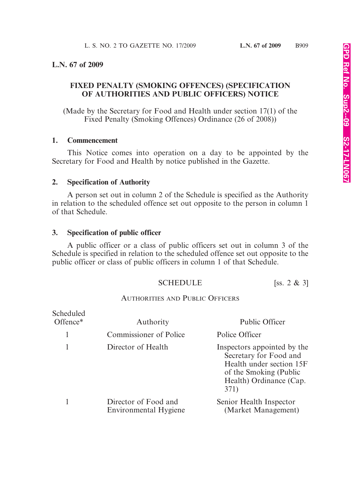## **L.N. 67 of 2009**

# **FIXED PENALTY (SMOKING OFFENCES) (SPECIFICATION OF AUTHORITIES AND PUBLIC OFFICERS) NOTICE**

(Made by the Secretary for Food and Health under section 17(1) of the Fixed Penalty (Smoking Offences) Ordinance (26 of 2008))

#### **1. Commencement**

This Notice comes into operation on a day to be appointed by the Secretary for Food and Health by notice published in the Gazette.

### **2. Specification of Authority**

A person set out in column 2 of the Schedule is specified as the Authority in relation to the scheduled offence set out opposite to the person in column 1 of that Schedule.

## **3. Specification of public officer**

A public officer or a class of public officers set out in column 3 of the Schedule is specified in relation to the scheduled offence set out opposite to the public officer or class of public officers in column 1 of that Schedule.

# SCHEDULE [ss. 2 & 3]

### AUTHORITIES AND PUBLIC OFFICERS

| Scheduled<br>Offence* | Authority                                     | Public Officer                                                                                                                                 |
|-----------------------|-----------------------------------------------|------------------------------------------------------------------------------------------------------------------------------------------------|
|                       | <b>Commissioner of Police</b>                 | Police Officer                                                                                                                                 |
|                       | Director of Health                            | Inspectors appointed by the<br>Secretary for Food and<br>Health under section 15F<br>of the Smoking (Public<br>Health) Ordinance (Cap.<br>371) |
|                       | Director of Food and<br>Environmental Hygiene | Senior Health Inspector<br>(Market Management)                                                                                                 |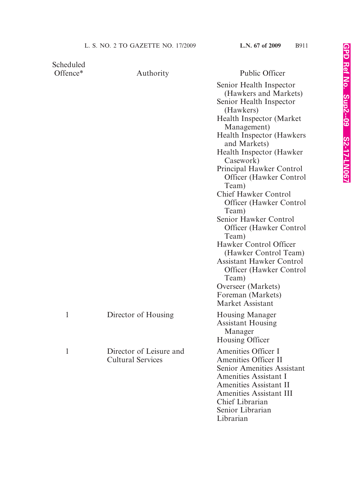| Scheduled<br>Offence* |                                                     | <b>Public Officer</b>                                                                                                                                                                                                                                                                                                                                                                                                                                                                                                                                                                                                              |
|-----------------------|-----------------------------------------------------|------------------------------------------------------------------------------------------------------------------------------------------------------------------------------------------------------------------------------------------------------------------------------------------------------------------------------------------------------------------------------------------------------------------------------------------------------------------------------------------------------------------------------------------------------------------------------------------------------------------------------------|
|                       | Authority                                           | Senior Health Inspector<br>(Hawkers and Markets)<br>Senior Health Inspector<br>(Hawkers)<br><b>Health Inspector (Market)</b><br>Management)<br>Health Inspector (Hawkers<br>and Markets)<br>Health Inspector (Hawker<br>Casework)<br>Principal Hawker Control<br><b>Officer</b> (Hawker Control<br>Team)<br><b>Chief Hawker Control</b><br><b>Officer</b> (Hawker Control<br>Team)<br>Senior Hawker Control<br><b>Officer</b> (Hawker Control<br>Team)<br>Hawker Control Officer<br>(Hawker Control Team)<br><b>Assistant Hawker Control</b><br><b>Officer</b> (Hawker Control<br>Team)<br>Overseer (Markets)<br>Foreman (Markets) |
|                       | Director of Housing                                 | Market Assistant<br><b>Housing Manager</b><br><b>Assistant Housing</b><br>Manager<br>Housing Officer                                                                                                                                                                                                                                                                                                                                                                                                                                                                                                                               |
| 1                     | Director of Leisure and<br><b>Cultural Services</b> | Amenities Officer I<br><b>Amenities Officer II</b><br><b>Senior Amenities Assistant</b><br>Amenities Assistant I<br><b>Amenities Assistant II</b><br><b>Amenities Assistant III</b><br>Chief Librarian<br>Senior Librarian<br>Librarian                                                                                                                                                                                                                                                                                                                                                                                            |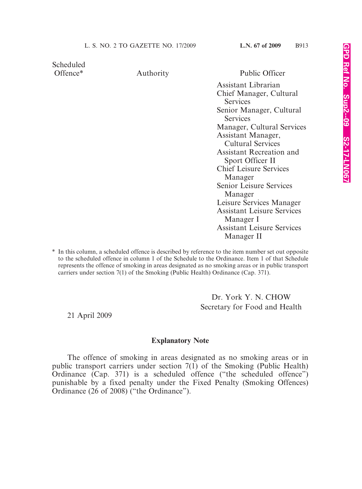Scheduled

Offence\* Authority Public Officer

Assistant Librarian Chief Manager, Cultural **Services** Senior Manager, Cultural **Services** Manager, Cultural Services Assistant Manager, Cultural Services Assistant Recreation and Sport Officer II Chief Leisure Services Manager Senior Leisure Services Manager Leisure Services Manager Assistant Leisure Services Manager I Assistant Leisure Services Manager II

\* In this column, a scheduled offence is described by reference to the item number set out opposite to the scheduled offence in column 1 of the Schedule to the Ordinance. Item 1 of that Schedule represents the offence of smoking in areas designated as no smoking areas or in public transport carriers under section 7(1) of the Smoking (Public Health) Ordinance (Cap. 371).

> Dr. York Y. N. CHOW Secretary for Food and Health

21 April 2009

#### **Explanatory Note**

The offence of smoking in areas designated as no smoking areas or in public transport carriers under section 7(1) of the Smoking (Public Health) Ordinance (Cap. 371) is a scheduled offence ("the scheduled offence") punishable by a fixed penalty under the Fixed Penalty (Smoking Offences) Ordinance (26 of 2008) ("the Ordinance").